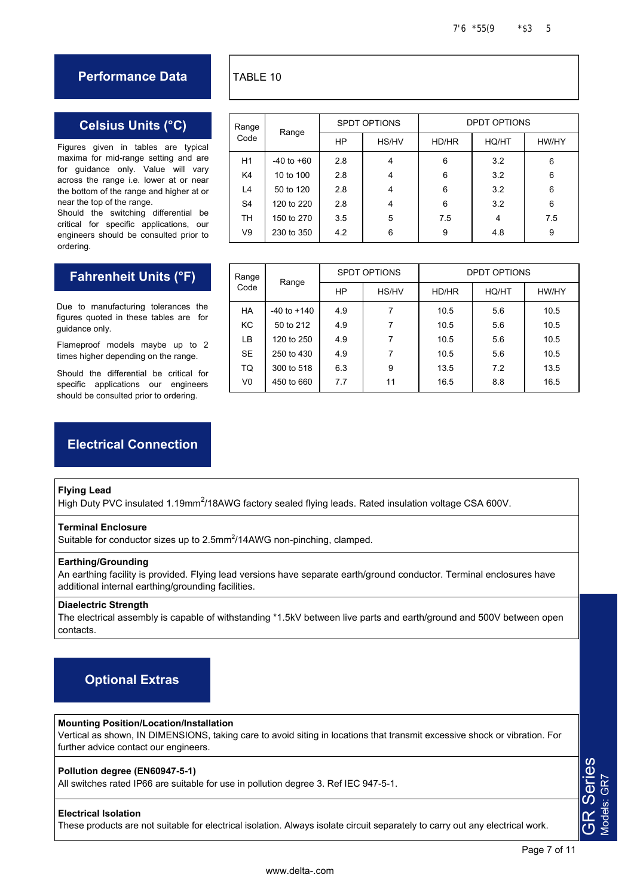## **Performance Data**

## **Celsius Units (°C)**

Figures given in tables are typical maxima for mid-range setting and are for guidance only. Value will vary across the range i.e. lower at or near the bottom of the range and higher at or near the top of the range.

Should the switching differential be critical for specific applications, our engineers should be consulted prior to ordering.

# **Fahrenheit Units (°F)**

Due to manufacturing tolerances the figures quoted in these tables are for guidance only.

Flameproof models maybe up to 2 times higher depending on the range.

Should the differential be critical for specific applications our engineers should be consulted prior to ordering.

# **Electrical Connection**

### **Flying Lead**

High Duty PVC insulated 1.19mm<sup>2</sup>/18AWG factory sealed flying leads. Rated insulation voltage CSA 600V.

#### **Terminal Enclosure**

Suitable for conductor sizes up to 2.5mm<sup>2</sup>/14AWG non-pinching, clamped.

#### **Earthing/Grounding**

An earthing facility is provided. Flying lead versions have separate earth/ground conductor. Terminal enclosures have additional internal earthing/grounding facilities.

#### **Diaelectric Strength**

The electrical assembly is capable of withstanding \*1.5kV between live parts and earth/ground and 500V between open contacts.

# **Optional Extras**

### **Mounting Position/Location/Installation**

Vertical as shown, IN DIMENSIONS, taking care to avoid siting in locations that transmit excessive shock or vibration. For further advice contact our engineers.

### **Pollution degree (EN60947-5-1)**

All switches rated IP66 are suitable for use in pollution degree 3. Ref IEC 947-5-1.

#### **Electrical Isolation**

These products are not suitable for electrical isolation. Always isolate circuit separately to carry out any electrical work.

# TABLE 10

| Range<br>Code  | Range          | <b>SPDT OPTIONS</b> |       | DPDT OPTIONS |       |       |
|----------------|----------------|---------------------|-------|--------------|-------|-------|
|                |                | <b>HP</b>           | HS/HV | HD/HR        | HQ/HT | HW/HY |
| H1             | $-40$ to $+60$ | 2.8                 | 4     | 6            | 3.2   | 6     |
| K4             | 10 to 100      | 2.8                 | 4     | 6            | 3.2   | 6     |
| L4             | 50 to 120      | 2.8                 | 4     | 6            | 3.2   | 6     |
| S <sub>4</sub> | 120 to 220     | 2.8                 | 4     | 6            | 3.2   | 6     |
| TH.            | 150 to 270     | 3.5                 | 5     | 7.5          | 4     | 7.5   |
| V9             | 230 to 350     | 4.2                 | 6     | 9            | 4.8   | 9     |

| Range<br>Code  | Range           | <b>SPDT OPTIONS</b> |       | DPDT OPTIONS |       |       |
|----------------|-----------------|---------------------|-------|--------------|-------|-------|
|                |                 | <b>HP</b>           | HS/HV | HD/HR        | HQ/HT | HW/HY |
| HA             | $-40$ to $+140$ | 4.9                 | 7     | 10.5         | 5.6   | 10.5  |
| KC             | 50 to 212       | 4.9                 | 7     | 10.5         | 5.6   | 10.5  |
| LB             | 120 to 250      | 4.9                 | 7     | 10.5         | 5.6   | 10.5  |
| <b>SE</b>      | 250 to 430      | 4.9                 | 7     | 10.5         | 5.6   | 10.5  |
| TQ             | 300 to 518      | 6.3                 | 9     | 13.5         | 7.2   | 13.5  |
| V <sub>0</sub> | 450 to 660      | 7.7                 | 11    | 16.5         | 8.8   | 16.5  |

GR Series Models: GR7

**GR Series**<br>Models: GR7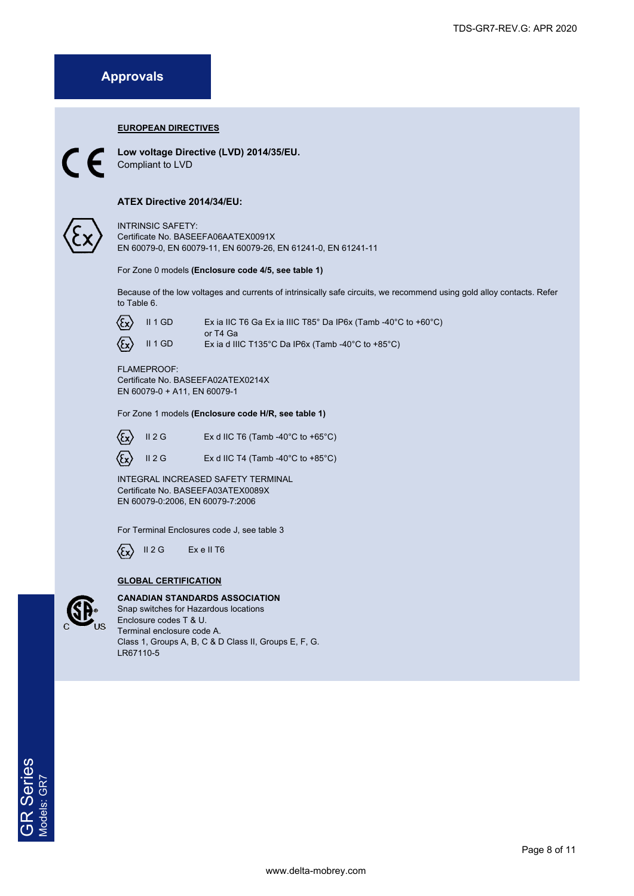# **Approvals**

#### **EUROPEAN DIRECTIVES**



**Low voltage Directive (LVD) 2014/35/EU.**  Compliant to LVD

### **ATEX Directive 2014/34/EU:**

INTRINSIC SAFETY: Certificate No. BASEEFA06AATEX0091X EN 60079-0, EN 60079-11, EN 60079-26, EN 61241-0, EN 61241-11

For Zone 0 models **(Enclosure code 4/5, see table 1)** 

Because of the low voltages and currents of intrinsically safe circuits, we recommend using gold alloy contacts. Refer to Table 6.



Ex ia IIC T6 Ga Ex ia IIIC T85° Da IP6x (Tamb -40°C to +60°C) or T4 Ga II 1 GD Ex ia d IIIC T135°C Da IP6x (Tamb -40°C to +85°C)

#### FLAMEPROOF: Certificate No. BASEEFA02ATEX0214X EN 60079-0 + A11, EN 60079-1

For Zone 1 models **(Enclosure code H/R, see table 1)** 



Ex d IIC T6 (Tamb -40 $^{\circ}$ C to +65 $^{\circ}$ C)





II 2 G Ex d IIC T4 (Tamb -40 $^{\circ}$ C to +85 $^{\circ}$ C)

INTEGRAL INCREASED SAFETY TERMINAL Certificate No. BASEEFA03ATEX0089X EN 60079-0:2006, EN 60079-7:2006

For Terminal Enclosures code J, see table 3

II 2 G Ex e II T6 ⁄۶۰

### **GLOBAL CERTIFICATION**



**CANADIAN STANDARDS ASSOCIATION** Snap switches for Hazardous locations Enclosure codes T & U. Terminal enclosure code A. Class 1, Groups A, B, C & D Class II, Groups E, F, G. LR67110-5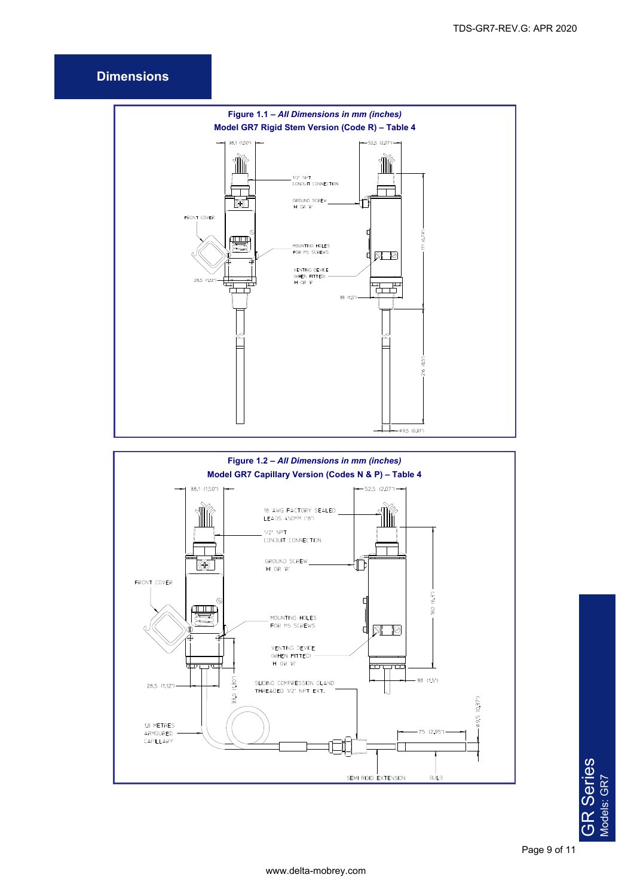## **Dimensions**





**GR Series**<br>Models: GR7 GR Series Models: GR7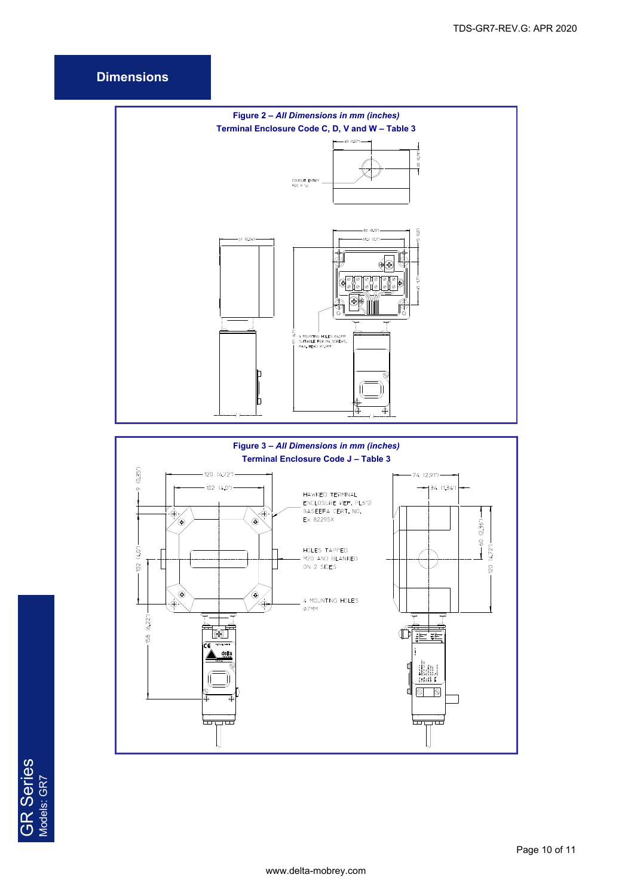## **Dimensions**